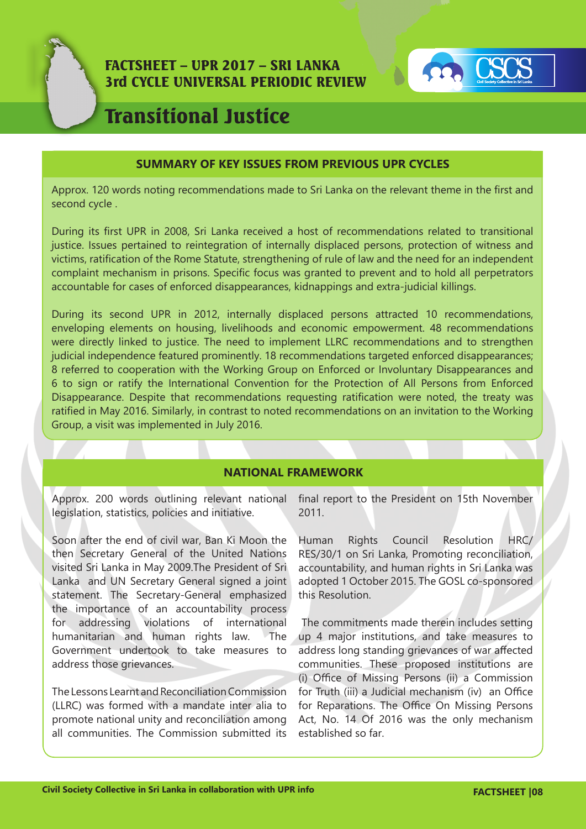



# Transitional Justice

## **SUMMARY OF KEY ISSUES FROM PREVIOUS UPR CYCLES**

Approx. 120 words noting recommendations made to Sri Lanka on the relevant theme in the first and second cycle .

During its first UPR in 2008, Sri Lanka received a host of recommendations related to transitional justice. Issues pertained to reintegration of internally displaced persons, protection of witness and victims, ratification of the Rome Statute, strengthening of rule of law and the need for an independent complaint mechanism in prisons. Specific focus was granted to prevent and to hold all perpetrators accountable for cases of enforced disappearances, kidnappings and extra-judicial killings.

During its second UPR in 2012, internally displaced persons attracted 10 recommendations, enveloping elements on housing, livelihoods and economic empowerment. 48 recommendations were directly linked to justice. The need to implement LLRC recommendations and to strengthen judicial independence featured prominently. 18 recommendations targeted enforced disappearances; 8 referred to cooperation with the Working Group on Enforced or Involuntary Disappearances and 6 to sign or ratify the International Convention for the Protection of All Persons from Enforced Disappearance. Despite that recommendations requesting ratification were noted, the treaty was ratified in May 2016. Similarly, in contrast to noted recommendations on an invitation to the Working Group, a visit was implemented in July 2016.

# **NATIONAL FRAMEWORK**

legislation, statistics, policies and initiative.

Soon after the end of civil war, Ban Ki Moon the then Secretary General of the United Nations visited Sri Lanka in May 2009.The President of Sri Lanka and UN Secretary General signed a joint statement. The Secretary-General emphasized the importance of an accountability process for addressing violations of international humanitarian and human rights law. The Government undertook to take measures to address those grievances.

The Lessons Learnt and Reconciliation Commission (LLRC) was formed with a mandate inter alia to promote national unity and reconciliation among all communities. The Commission submitted its

Approx. 200 words outlining relevant national final report to the President on 15th November 2011.

> Human Rights Council Resolution HRC/ RES/30/1 on Sri Lanka, Promoting reconciliation, accountability, and human rights in Sri Lanka was adopted 1 October 2015. The GOSL co-sponsored this Resolution.

> The commitments made therein includes setting up 4 major institutions, and take measures to address long standing grievances of war affected communities. These proposed institutions are (i) Office of Missing Persons (ii) a Commission for Truth (iii) a Judicial mechanism (iv) an Office for Reparations. The Office On Missing Persons Act, No. 14 Of 2016 was the only mechanism established so far.